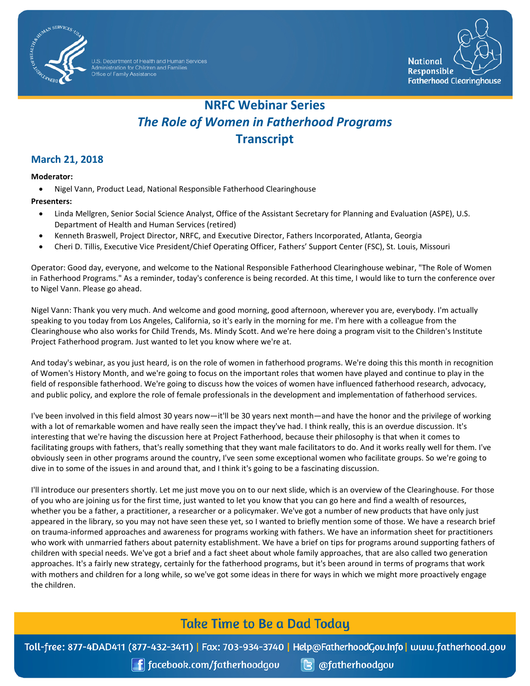

.<br>Idministration for Children and Families<br>Office of Family Assistance



# *The Role of Women in Fatherhood Programs*  **NRFC Webinar Series Transcript**

### **March 21, 2018**

#### **Moderator:**

• Nigel Vann, Product Lead, National Responsible Fatherhood Clearinghouse

#### **Presenters:**

- • Linda Mellgren, Senior Social Science Analyst, Office of the Assistant Secretary for Planning and Evaluation (ASPE), U.S. Department of Health and Human Services (retired)
- Kenneth Braswell, Project Director, NRFC, and Executive Director, Fathers Incorporated, Atlanta, Georgia
- Cheri D. Tillis, Executive Vice President/Chief Operating Officer, Fathers' Support Center (FSC), St. Louis, Missouri

Operator: Good day, everyone, and welcome to the National Responsible Fatherhood Clearinghouse webinar, "The Role of Women in Fatherhood Programs." As a reminder, today's conference is being recorded. At this time, I would like to turn the conference over to Nigel Vann. Please go ahead.

 Clearinghouse who also works for Child Trends, Ms. Mindy Scott. And we're here doing a program visit to the Children's Institute Project Fatherhood program. Just wanted to let you know where we're at. Nigel Vann: Thank you very much. And welcome and good morning, good afternoon, wherever you are, everybody. I'm actually speaking to you today from Los Angeles, California, so it's early in the morning for me. I'm here with a colleague from the

 of Women's History Month, and we're going to focus on the important roles that women have played and continue to play in the field of responsible fatherhood. We're going to discuss how the voices of women have influenced fatherhood research, advocacy, And today's webinar, as you just heard, is on the role of women in fatherhood programs. We're doing this this month in recognition and public policy, and explore the role of female professionals in the development and implementation of fatherhood services.

 facilitating groups with fathers, that's really something that they want male facilitators to do. And it works really well for them. I've obviously seen in other programs around the country, I've seen some exceptional women who facilitate groups. So we're going to dive in to some of the issues in and around that, and I think it's going to be a fascinating discussion. I've been involved in this field almost 30 years now—it'll be 30 years next month—and have the honor and the privilege of working with a lot of remarkable women and have really seen the impact they've had. I think really, this is an overdue discussion. It's interesting that we're having the discussion here at Project Fatherhood, because their philosophy is that when it comes to

 on trauma-informed approaches and awareness for programs working with fathers. We have an information sheet for practitioners with mothers and children for a long while, so we've got some ideas in there for ways in which we might more proactively engage I'll introduce our presenters shortly. Let me just move you on to our next slide, which is an overview of the Clearinghouse. For those of you who are joining us for the first time, just wanted to let you know that you can go here and find a wealth of resources, whether you be a father, a practitioner, a researcher or a policymaker. We've got a number of new products that have only just appeared in the library, so you may not have seen these yet, so I wanted to briefly mention some of those. We have a research brief who work with unmarried fathers about paternity establishment. We have a brief on tips for programs around supporting fathers of children with special needs. We've got a brief and a fact sheet about whole family approaches, that are also called two generation approaches. It's a fairly new strategy, certainly for the fatherhood programs, but it's been around in terms of programs that work the children.

## **Take Time to Be a Dad Today**

Toll-free: 877-4DAD411 (877-432-3411) | Fax: 703-934-3740 | Help@FatherhoodGov.Info | www.fatherhood.gov

 $\int$  facebook.com/fatherhoodgov

**B** @fatherhoodgou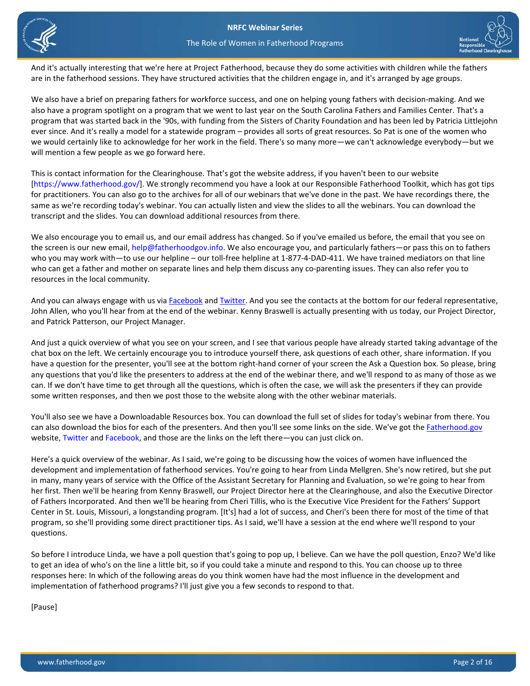



And it's actually interesting that we're here at Project Fatherhood, because they do some activities with children while the fathers are in the fatherhood sessions. They have structured activities that the children engage in, and it's arranged by age groups.

 also have a program spotlight on a program that we went to last year on the South Carolina Fathers and Families Center. That's a We also have a brief on preparing fathers for workforce success, and one on helping young fathers with decision-making. And we program that was started back in the '90s, with funding from the Sisters of Charity Foundation and has been led by Patricia Littlejohn ever since. And it's really a model for a statewide program – provides all sorts of great resources. So Pat is one of the women who we would certainly like to acknowledge for her work in the field. There's so many more—we can't acknowledge everybody—but we will mention a few people as we go forward here.

This is contact information for the Clearinghouse. That's got the website address, if you haven't been to our website [\[https://www.fatherhood.gov/\]](https://www.fatherhood.gov/). We strongly recommend you have a look at our Responsible Fatherhood Toolkit, which has got tips for practitioners. You can also go to the archives for all of our webinars that we've done in the past. We have recordings there, the same as we're recording today's webinar. You can actually listen and view the slides to all the webinars. You can download the transcript and the slides. You can download additional resources from there.

 who can get a father and mother on separate lines and help them discuss any co-parenting issues. They can also refer you to We also encourage you to email us, and our email address has changed. So if you've emailed us before, the email that you see on the screen is our new email[, help@fatherhoodgov.info.](mailto:help@fatherhoodgov.info) We also encourage you, and particularly fathers—or pass this on to fathers who you may work with—to use our helpline – our toll-free helpline at 1-877-4-DAD-411. We have trained mediators on that line resources in the local community.

And you can always engage with us vi[a Facebook a](https://www.facebook.com/fatherhoodgov)nd [Twitter.](https://twitter.com/fatherhoodgov) And you see the contacts at the bottom for our federal representative, John Allen, who you'll hear from at the end of the webinar. Kenny Braswell is actually presenting with us today, our Project Director, and Patrick Patterson, our Project Manager.

And just a quick overview of what you see on your screen, and I see that various people have already started taking advantage of the chat box on the left. We certainly encourage you to introduce yourself there, ask questions of each other, share information. If you have a question for the presenter, you'll see at the bottom right-hand corner of your screen the Ask a Question box. So please, bring any questions that you'd like the presenters to address at the end of the webinar there, and we'll respond to as many of those as we can. If we don't have time to get through all the questions, which is often the case, we will ask the presenters if they can provide some written responses, and then we post those to the website along with the other webinar materials.

You'll also see we have a Downloadable Resources box. You can download the full set of slides for today's webinar from there. You can also download the bios for each of the presenters. And then you'll see some links on the side. We've got the [Fatherhood.gov](https://www.fatherhood.gov/)  website[, Twitter](https://twitter.com/fatherhoodgov) and [Facebook,](https://www.facebook.com/fatherhoodgov) and those are the links on the left there—you can just click on.

Here's a quick overview of the webinar. As I said, we're going to be discussing how the voices of women have influenced the development and implementation of fatherhood services. You're going to hear from Linda Mellgren. She's now retired, but she put in many, many years of service with the Office of the Assistant Secretary for Planning and Evaluation, so we're going to hear from her first. Then we'll be hearing from Kenny Braswell, our Project Director here at the Clearinghouse, and also the Executive Director of Fathers Incorporated. And then we'll be hearing from Cheri Tillis, who is the Executive Vice President for the Fathers' Support Center in St. Louis, Missouri, a longstanding program. [It's] had a lot of success, and Cheri's been there for most of the time of that program, so she'll providing some direct practitioner tips. As I said, we'll have a session at the end where we'll respond to your questions.

So before I introduce Linda, we have a poll question that's going to pop up, I believe. Can we have the poll question, Enzo? We'd like to get an idea of who's on the line a little bit, so if you could take a minute and respond to this. You can choose up to three responses here: In which of the following areas do you think women have had the most influence in the development and implementation of fatherhood programs? I'll just give you a few seconds to respond to that.

[Pause]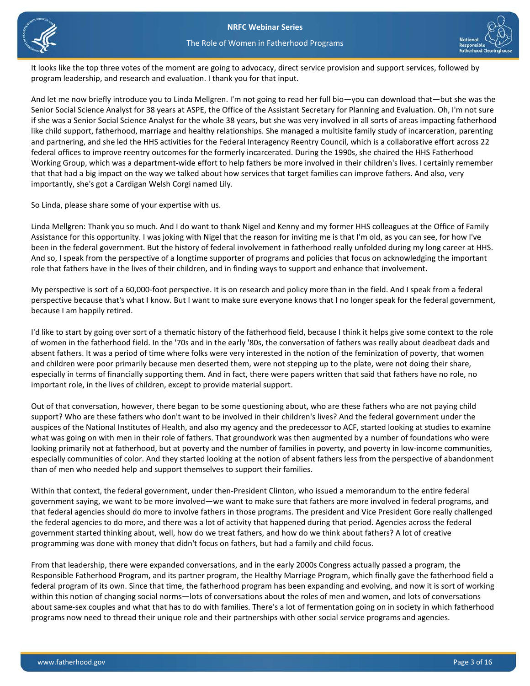



The Role of Women in Fatherhood Programs

 program leadership, and research and evaluation. I thank you for that input. It looks like the top three votes of the moment are going to advocacy, direct service provision and support services, followed by

 Working Group, which was a department-wide effort to help fathers be more involved in their children's lives. I certainly remember that that had a big impact on the way we talked about how services that target families can improve fathers. And also, very And let me now briefly introduce you to Linda Mellgren. I'm not going to read her full bio—you can download that—but she was the Senior Social Science Analyst for 38 years at ASPE, the Office of the Assistant Secretary for Planning and Evaluation. Oh, I'm not sure if she was a Senior Social Science Analyst for the whole 38 years, but she was very involved in all sorts of areas impacting fatherhood like child support, fatherhood, marriage and healthy relationships. She managed a multisite family study of incarceration, parenting and partnering, and she led the HHS activities for the Federal Interagency Reentry Council, which is a collaborative effort across 22 federal offices to improve reentry outcomes for the formerly incarcerated. During the 1990s, she chaired the HHS Fatherhood importantly, she's got a Cardigan Welsh Corgi named Lily.

So Linda, please share some of your expertise with us.

 Linda Mellgren: Thank you so much. And I do want to thank Nigel and Kenny and my former HHS colleagues at the Office of Family Assistance for this opportunity. I was joking with Nigel that the reason for inviting me is that I'm old, as you can see, for how I've been in the federal government. But the history of federal involvement in fatherhood really unfolded during my long career at HHS. And so, I speak from the perspective of a longtime supporter of programs and policies that focus on acknowledging the important role that fathers have in the lives of their children, and in finding ways to support and enhance that involvement.

because I am happily retired. My perspective is sort of a 60,000-foot perspective. It is on research and policy more than in the field. And I speak from a federal perspective because that's what I know. But I want to make sure everyone knows that I no longer speak for the federal government,

 important role, in the lives of children, except to provide material support. I'd like to start by going over sort of a thematic history of the fatherhood field, because I think it helps give some context to the role of women in the fatherhood field. In the '70s and in the early '80s, the conversation of fathers was really about deadbeat dads and absent fathers. It was a period of time where folks were very interested in the notion of the feminization of poverty, that women and children were poor primarily because men deserted them, were not stepping up to the plate, were not doing their share, especially in terms of financially supporting them. And in fact, there were papers written that said that fathers have no role, no

 Out of that conversation, however, there began to be some questioning about, who are these fathers who are not paying child support? Who are these fathers who don't want to be involved in their children's lives? And the federal government under the auspices of the National Institutes of Health, and also my agency and the predecessor to ACF, started looking at studies to examine what was going on with men in their role of fathers. That groundwork was then augmented by a number of foundations who were looking primarily not at fatherhood, but at poverty and the number of families in poverty, and poverty in low-income communities, especially communities of color. And they started looking at the notion of absent fathers less from the perspective of abandonment than of men who needed help and support themselves to support their families.

 Within that context, the federal government, under then-President Clinton, who issued a memorandum to the entire federal government saying, we want to be more involved—we want to make sure that fathers are more involved in federal programs, and that federal agencies should do more to involve fathers in those programs. The president and Vice President Gore really challenged the federal agencies to do more, and there was a lot of activity that happened during that period. Agencies across the federal government started thinking about, well, how do we treat fathers, and how do we think about fathers? A lot of creative programming was done with money that didn't focus on fathers, but had a family and child focus.

 From that leadership, there were expanded conversations, and in the early 2000s Congress actually passed a program, the about same-sex couples and what that has to do with families. There's a lot of fermentation going on in society in which fatherhood programs now need to thread their unique role and their partnerships with other social service programs and agencies. Responsible Fatherhood Program, and its partner program, the Healthy Marriage Program, which finally gave the fatherhood field a federal program of its own. Since that time, the fatherhood program has been expanding and evolving, and now it is sort of working within this notion of changing social norms—lots of conversations about the roles of men and women, and lots of conversations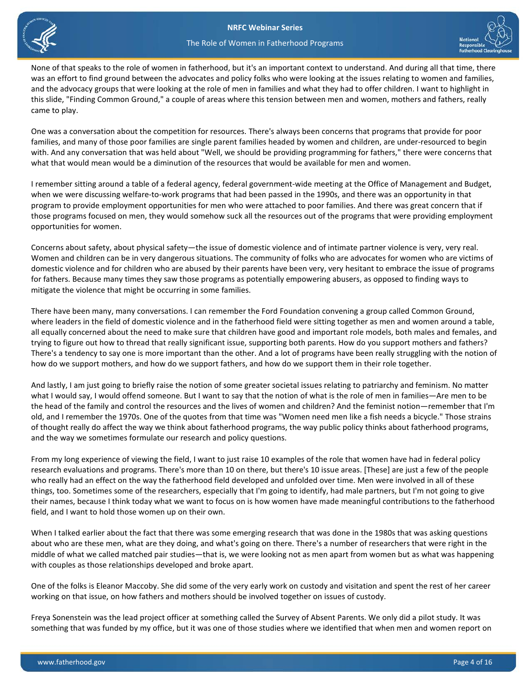



None of that speaks to the role of women in fatherhood, but it's an important context to understand. And during all that time, there was an effort to find ground between the advocates and policy folks who were looking at the issues relating to women and families, and the advocacy groups that were looking at the role of men in families and what they had to offer children. I want to highlight in this slide, "Finding Common Ground," a couple of areas where this tension between men and women, mothers and fathers, really came to play.

One was a conversation about the competition for resources. There's always been concerns that programs that provide for poor families, and many of those poor families are single parent families headed by women and children, are under-resourced to begin with. And any conversation that was held about "Well, we should be providing programming for fathers," there were concerns that what that would mean would be a diminution of the resources that would be available for men and women.

 I remember sitting around a table of a federal agency, federal government-wide meeting at the Office of Management and Budget, when we were discussing welfare-to-work programs that had been passed in the 1990s, and there was an opportunity in that program to provide employment opportunities for men who were attached to poor families. And there was great concern that if those programs focused on men, they would somehow suck all the resources out of the programs that were providing employment opportunities for women.

 for fathers. Because many times they saw those programs as potentially empowering abusers, as opposed to finding ways to Concerns about safety, about physical safety—the issue of domestic violence and of intimate partner violence is very, very real. Women and children can be in very dangerous situations. The community of folks who are advocates for women who are victims of domestic violence and for children who are abused by their parents have been very, very hesitant to embrace the issue of programs mitigate the violence that might be occurring in some families.

There have been many, many conversations. I can remember the Ford Foundation convening a group called Common Ground, where leaders in the field of domestic violence and in the fatherhood field were sitting together as men and women around a table, all equally concerned about the need to make sure that children have good and important role models, both males and females, and trying to figure out how to thread that really significant issue, supporting both parents. How do you support mothers and fathers? There's a tendency to say one is more important than the other. And a lot of programs have been really struggling with the notion of how do we support mothers, and how do we support fathers, and how do we support them in their role together.

 old, and I remember the 1970s. One of the quotes from that time was "Women need men like a fish needs a bicycle." Those strains And lastly, I am just going to briefly raise the notion of some greater societal issues relating to patriarchy and feminism. No matter what I would say, I would offend someone. But I want to say that the notion of what is the role of men in families—Are men to be the head of the family and control the resources and the lives of women and children? And the feminist notion—remember that I'm of thought really do affect the way we think about fatherhood programs, the way public policy thinks about fatherhood programs, and the way we sometimes formulate our research and policy questions.

 research evaluations and programs. There's more than 10 on there, but there's 10 issue areas. [These] are just a few of the people their names, because I think today what we want to focus on is how women have made meaningful contributions to the fatherhood From my long experience of viewing the field, I want to just raise 10 examples of the role that women have had in federal policy who really had an effect on the way the fatherhood field developed and unfolded over time. Men were involved in all of these things, too. Sometimes some of the researchers, especially that I'm going to identify, had male partners, but I'm not going to give field, and I want to hold those women up on their own.

When I talked earlier about the fact that there was some emerging research that was done in the 1980s that was asking questions about who are these men, what are they doing, and what's going on there. There's a number of researchers that were right in the middle of what we called matched pair studies—that is, we were looking not as men apart from women but as what was happening with couples as those relationships developed and broke apart.

One of the folks is Eleanor Maccoby. She did some of the very early work on custody and visitation and spent the rest of her career working on that issue, on how fathers and mothers should be involved together on issues of custody.

Freya Sonenstein was the lead project officer at something called the Survey of Absent Parents. We only did a pilot study. It was something that was funded by my office, but it was one of those studies where we identified that when men and women report on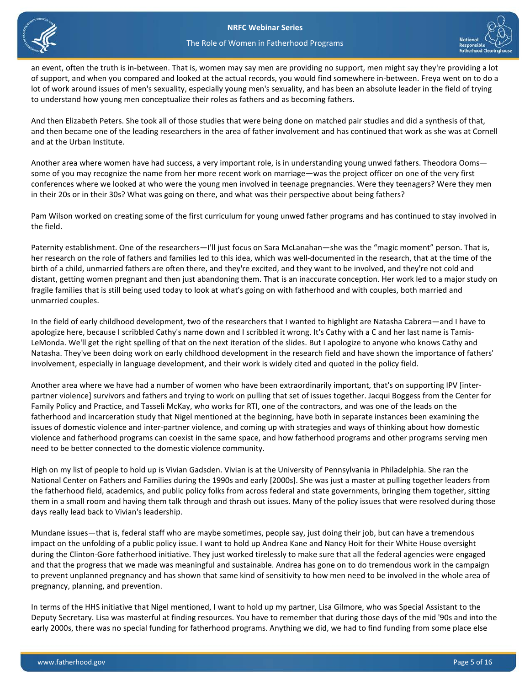

an event, often the truth is in-between. That is, women may say men are providing no support, men might say they're providing a lot of support, and when you compared and looked at the actual records, you would find somewhere in-between. Freya went on to do a lot of work around issues of men's sexuality, especially young men's sexuality, and has been an absolute leader in the field of trying to understand how young men conceptualize their roles as fathers and as becoming fathers.

And then Elizabeth Peters. She took all of those studies that were being done on matched pair studies and did a synthesis of that, and then became one of the leading researchers in the area of father involvement and has continued that work as she was at Cornell and at the Urban Institute.

Another area where women have had success, a very important role, is in understanding young unwed fathers. Theodora Ooms some of you may recognize the name from her more recent work on marriage—was the project officer on one of the very first conferences where we looked at who were the young men involved in teenage pregnancies. Were they teenagers? Were they men in their 20s or in their 30s? What was going on there, and what was their perspective about being fathers?

Pam Wilson worked on creating some of the first curriculum for young unwed father programs and has continued to stay involved in the field.

Paternity establishment. One of the researchers—I'll just focus on Sara McLanahan—she was the "magic moment" person. That is, her research on the role of fathers and families led to this idea, which was well-documented in the research, that at the time of the birth of a child, unmarried fathers are often there, and they're excited, and they want to be involved, and they're not cold and distant, getting women pregnant and then just abandoning them. That is an inaccurate conception. Her work led to a major study on fragile families that is still being used today to look at what's going on with fatherhood and with couples, both married and unmarried couples.

In the field of early childhood development, two of the researchers that I wanted to highlight are Natasha Cabrera—and I have to apologize here, because I scribbled Cathy's name down and I scribbled it wrong. It's Cathy with a C and her last name is Tamis-LeMonda. We'll get the right spelling of that on the next iteration of the slides. But I apologize to anyone who knows Cathy and Natasha. They've been doing work on early childhood development in the research field and have shown the importance of fathers' involvement, especially in language development, and their work is widely cited and quoted in the policy field.

Another area where we have had a number of women who have been extraordinarily important, that's on supporting IPV [interpartner violence] survivors and fathers and trying to work on pulling that set of issues together. Jacqui Boggess from the Center for Family Policy and Practice, and Tasseli McKay, who works for RTI, one of the contractors, and was one of the leads on the fatherhood and incarceration study that Nigel mentioned at the beginning, have both in separate instances been examining the issues of domestic violence and inter-partner violence, and coming up with strategies and ways of thinking about how domestic violence and fatherhood programs can coexist in the same space, and how fatherhood programs and other programs serving men need to be better connected to the domestic violence community.

High on my list of people to hold up is Vivian Gadsden. Vivian is at the University of Pennsylvania in Philadelphia. She ran the National Center on Fathers and Families during the 1990s and early [2000s]. She was just a master at pulling together leaders from the fatherhood field, academics, and public policy folks from across federal and state governments, bringing them together, sitting them in a small room and having them talk through and thrash out issues. Many of the policy issues that were resolved during those days really lead back to Vivian's leadership.

Mundane issues—that is, federal staff who are maybe sometimes, people say, just doing their job, but can have a tremendous impact on the unfolding of a public policy issue. I want to hold up Andrea Kane and Nancy Hoit for their White House oversight during the Clinton-Gore fatherhood initiative. They just worked tirelessly to make sure that all the federal agencies were engaged and that the progress that we made was meaningful and sustainable. Andrea has gone on to do tremendous work in the campaign to prevent unplanned pregnancy and has shown that same kind of sensitivity to how men need to be involved in the whole area of pregnancy, planning, and prevention.

In terms of the HHS initiative that Nigel mentioned, I want to hold up my partner, Lisa Gilmore, who was Special Assistant to the Deputy Secretary. Lisa was masterful at finding resources. You have to remember that during those days of the mid '90s and into the early 2000s, there was no special funding for fatherhood programs. Anything we did, we had to find funding from some place else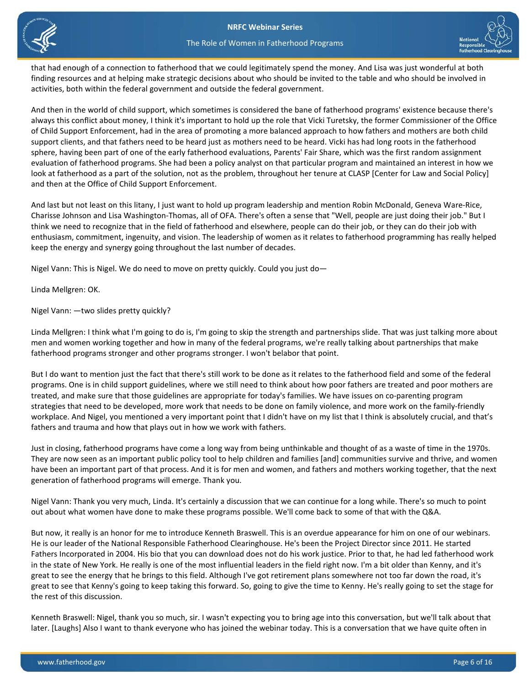





that had enough of a connection to fatherhood that we could legitimately spend the money. And Lisa was just wonderful at both finding resources and at helping make strategic decisions about who should be invited to the table and who should be involved in activities, both within the federal government and outside the federal government.

 always this conflict about money, I think it's important to hold up the role that Vicki Turetsky, the former Commissioner of the Office sphere, having been part of one of the early fatherhood evaluations, Parents' Fair Share, which was the first random assignment look at fatherhood as a part of the solution, not as the problem, throughout her tenure at CLASP [Center for Law and Social Policy] And then in the world of child support, which sometimes is considered the bane of fatherhood programs' existence because there's of Child Support Enforcement, had in the area of promoting a more balanced approach to how fathers and mothers are both child support clients, and that fathers need to be heard just as mothers need to be heard. Vicki has had long roots in the fatherhood evaluation of fatherhood programs. She had been a policy analyst on that particular program and maintained an interest in how we and then at the Office of Child Support Enforcement.

 Charisse Johnson and Lisa Washington-Thomas, all of OFA. There's often a sense that "Well, people are just doing their job." But I enthusiasm, commitment, ingenuity, and vision. The leadership of women as it relates to fatherhood programming has really helped And last but not least on this litany, I just want to hold up program leadership and mention Robin McDonald, Geneva Ware-Rice, think we need to recognize that in the field of fatherhood and elsewhere, people can do their job, or they can do their job with keep the energy and synergy going throughout the last number of decades.

Nigel Vann: This is Nigel. We do need to move on pretty quickly. Could you just do—

Linda Mellgren: OK.

Nigel Vann: —two slides pretty quickly?

 Linda Mellgren: I think what I'm going to do is, I'm going to skip the strength and partnerships slide. That was just talking more about men and women working together and how in many of the federal programs, we're really talking about partnerships that make fatherhood programs stronger and other programs stronger. I won't belabor that point.

 But I do want to mention just the fact that there's still work to be done as it relates to the fatherhood field and some of the federal programs. One is in child support guidelines, where we still need to think about how poor fathers are treated and poor mothers are fathers and trauma and how that plays out in how we work with fathers. treated, and make sure that those guidelines are appropriate for today's families. We have issues on co-parenting program strategies that need to be developed, more work that needs to be done on family violence, and more work on the family-friendly workplace. And Nigel, you mentioned a very important point that I didn't have on my list that I think is absolutely crucial, and that's

 have been an important part of that process. And it is for men and women, and fathers and mothers working together, that the next generation of fatherhood programs will emerge. Thank you. Just in closing, fatherhood programs have come a long way from being unthinkable and thought of as a waste of time in the 1970s. They are now seen as an important public policy tool to help children and families [and] communities survive and thrive, and women

 Nigel Vann: Thank you very much, Linda. It's certainly a discussion that we can continue for a long while. There's so much to point out about what women have done to make these programs possible. We'll come back to some of that with the Q&A.

 great to see that Kenny's going to keep taking this forward. So, going to give the time to Kenny. He's really going to set the stage for But now, it really is an honor for me to introduce Kenneth Braswell. This is an overdue appearance for him on one of our webinars. He is our leader of the National Responsible Fatherhood Clearinghouse. He's been the Project Director since 2011. He started Fathers Incorporated in 2004. His bio that you can download does not do his work justice. Prior to that, he had led fatherhood work in the state of New York. He really is one of the most influential leaders in the field right now. I'm a bit older than Kenny, and it's great to see the energy that he brings to this field. Although I've got retirement plans somewhere not too far down the road, it's the rest of this discussion.

Kenneth Braswell: Nigel, thank you so much, sir. I wasn't expecting you to bring age into this conversation, but we'll talk about that later. [Laughs] Also I want to thank everyone who has joined the webinar today. This is a conversation that we have quite often in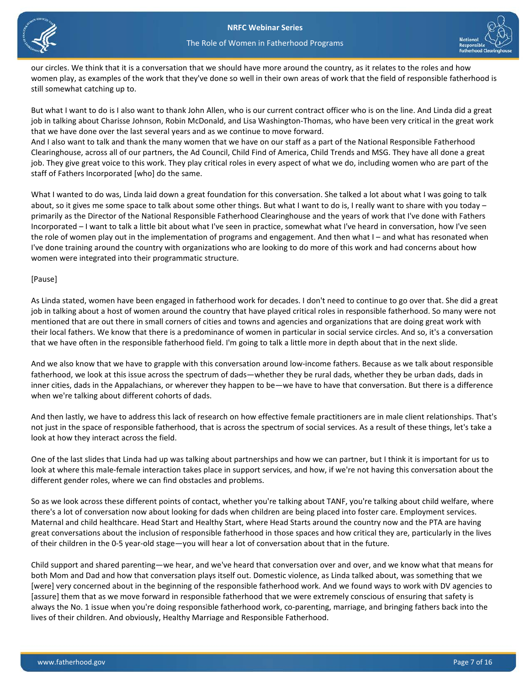



our circles. We think that it is a conversation that we should have more around the country, as it relates to the roles and how women play, as examples of the work that they've done so well in their own areas of work that the field of responsible fatherhood is still somewhat catching up to.

But what I want to do is I also want to thank John Allen, who is our current contract officer who is on the line. And Linda did a great job in talking about Charisse Johnson, Robin McDonald, and Lisa Washington-Thomas, who have been very critical in the great work that we have done over the last several years and as we continue to move forward.

 job. They give great voice to this work. They play critical roles in every aspect of what we do, including women who are part of the And I also want to talk and thank the many women that we have on our staff as a part of the National Responsible Fatherhood Clearinghouse, across all of our partners, the Ad Council, Child Find of America, Child Trends and MSG. They have all done a great staff of Fathers Incorporated [who] do the same.

What I wanted to do was, Linda laid down a great foundation for this conversation. She talked a lot about what I was going to talk about, so it gives me some space to talk about some other things. But what I want to do is, I really want to share with you today – primarily as the Director of the National Responsible Fatherhood Clearinghouse and the years of work that I've done with Fathers Incorporated – I want to talk a little bit about what I've seen in practice, somewhat what I've heard in conversation, how I've seen the role of women play out in the implementation of programs and engagement. And then what I – and what has resonated when I've done training around the country with organizations who are looking to do more of this work and had concerns about how women were integrated into their programmatic structure.

#### [Pause]

As Linda stated, women have been engaged in fatherhood work for decades. I don't need to continue to go over that. She did a great job in talking about a host of women around the country that have played critical roles in responsible fatherhood. So many were not mentioned that are out there in small corners of cities and towns and agencies and organizations that are doing great work with their local fathers. We know that there is a predominance of women in particular in social service circles. And so, it's a conversation that we have often in the responsible fatherhood field. I'm going to talk a little more in depth about that in the next slide.

And we also know that we have to grapple with this conversation around low-income fathers. Because as we talk about responsible fatherhood, we look at this issue across the spectrum of dads—whether they be rural dads, whether they be urban dads, dads in inner cities, dads in the Appalachians, or wherever they happen to be—we have to have that conversation. But there is a difference when we're talking about different cohorts of dads.

And then lastly, we have to address this lack of research on how effective female practitioners are in male client relationships. That's not just in the space of responsible fatherhood, that is across the spectrum of social services. As a result of these things, let's take a look at how they interact across the field.

One of the last slides that Linda had up was talking about partnerships and how we can partner, but I think it is important for us to look at where this male-female interaction takes place in support services, and how, if we're not having this conversation about the different gender roles, where we can find obstacles and problems.

So as we look across these different points of contact, whether you're talking about TANF, you're talking about child welfare, where there's a lot of conversation now about looking for dads when children are being placed into foster care. Employment services. Maternal and child healthcare. Head Start and Healthy Start, where Head Starts around the country now and the PTA are having great conversations about the inclusion of responsible fatherhood in those spaces and how critical they are, particularly in the lives of their children in the 0-5 year-old stage—you will hear a lot of conversation about that in the future.

Child support and shared parenting—we hear, and we've heard that conversation over and over, and we know what that means for both Mom and Dad and how that conversation plays itself out. Domestic violence, as Linda talked about, was something that we [were] very concerned about in the beginning of the responsible fatherhood work. And we found ways to work with DV agencies to [assure] them that as we move forward in responsible fatherhood that we were extremely conscious of ensuring that safety is always the No. 1 issue when you're doing responsible fatherhood work, co-parenting, marriage, and bringing fathers back into the lives of their children. And obviously, Healthy Marriage and Responsible Fatherhood.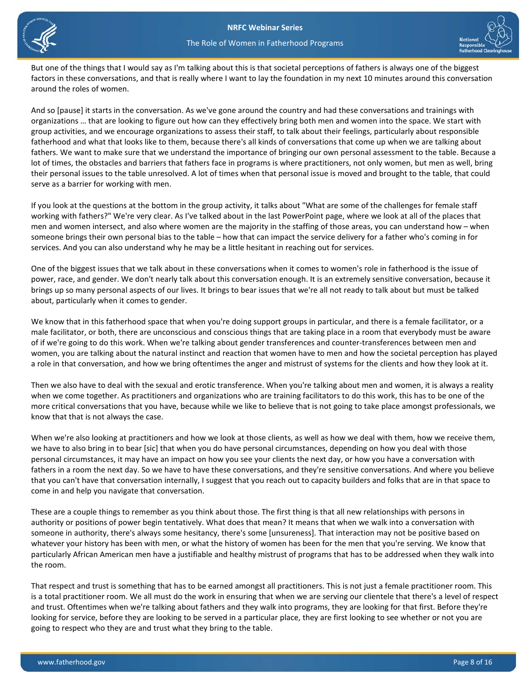



But one of the things that I would say as I'm talking about this is that societal perceptions of fathers is always one of the biggest factors in these conversations, and that is really where I want to lay the foundation in my next 10 minutes around this conversation around the roles of women.

And so [pause] it starts in the conversation. As we've gone around the country and had these conversations and trainings with organizations … that are looking to figure out how can they effectively bring both men and women into the space. We start with group activities, and we encourage organizations to assess their staff, to talk about their feelings, particularly about responsible fatherhood and what that looks like to them, because there's all kinds of conversations that come up when we are talking about fathers. We want to make sure that we understand the importance of bringing our own personal assessment to the table. Because a lot of times, the obstacles and barriers that fathers face in programs is where practitioners, not only women, but men as well, bring their personal issues to the table unresolved. A lot of times when that personal issue is moved and brought to the table, that could serve as a barrier for working with men.

If you look at the questions at the bottom in the group activity, it talks about "What are some of the challenges for female staff working with fathers?" We're very clear. As I've talked about in the last PowerPoint page, where we look at all of the places that men and women intersect, and also where women are the majority in the staffing of those areas, you can understand how – when someone brings their own personal bias to the table – how that can impact the service delivery for a father who's coming in for services. And you can also understand why he may be a little hesitant in reaching out for services.

One of the biggest issues that we talk about in these conversations when it comes to women's role in fatherhood is the issue of power, race, and gender. We don't nearly talk about this conversation enough. It is an extremely sensitive conversation, because it brings up so many personal aspects of our lives. It brings to bear issues that we're all not ready to talk about but must be talked about, particularly when it comes to gender.

 of if we're going to do this work. When we're talking about gender transferences and counter-transferences between men and We know that in this fatherhood space that when you're doing support groups in particular, and there is a female facilitator, or a male facilitator, or both, there are unconscious and conscious things that are taking place in a room that everybody must be aware women, you are talking about the natural instinct and reaction that women have to men and how the societal perception has played a role in that conversation, and how we bring oftentimes the anger and mistrust of systems for the clients and how they look at it.

Then we also have to deal with the sexual and erotic transference. When you're talking about men and women, it is always a reality when we come together. As practitioners and organizations who are training facilitators to do this work, this has to be one of the more critical conversations that you have, because while we like to believe that is not going to take place amongst professionals, we know that that is not always the case.

When we're also looking at practitioners and how we look at those clients, as well as how we deal with them, how we receive them, we have to also bring in to bear [sic] that when you do have personal circumstances, depending on how you deal with those personal circumstances, it may have an impact on how you see your clients the next day, or how you have a conversation with fathers in a room the next day. So we have to have these conversations, and they're sensitive conversations. And where you believe that you can't have that conversation internally, I suggest that you reach out to capacity builders and folks that are in that space to come in and help you navigate that conversation.

These are a couple things to remember as you think about those. The first thing is that all new relationships with persons in authority or positions of power begin tentatively. What does that mean? It means that when we walk into a conversation with someone in authority, there's always some hesitancy, there's some [unsureness]. That interaction may not be positive based on whatever your history has been with men, or what the history of women has been for the men that you're serving. We know that particularly African American men have a justifiable and healthy mistrust of programs that has to be addressed when they walk into the room.

That respect and trust is something that has to be earned amongst all practitioners. This is not just a female practitioner room. This is a total practitioner room. We all must do the work in ensuring that when we are serving our clientele that there's a level of respect and trust. Oftentimes when we're talking about fathers and they walk into programs, they are looking for that first. Before they're looking for service, before they are looking to be served in a particular place, they are first looking to see whether or not you are going to respect who they are and trust what they bring to the table.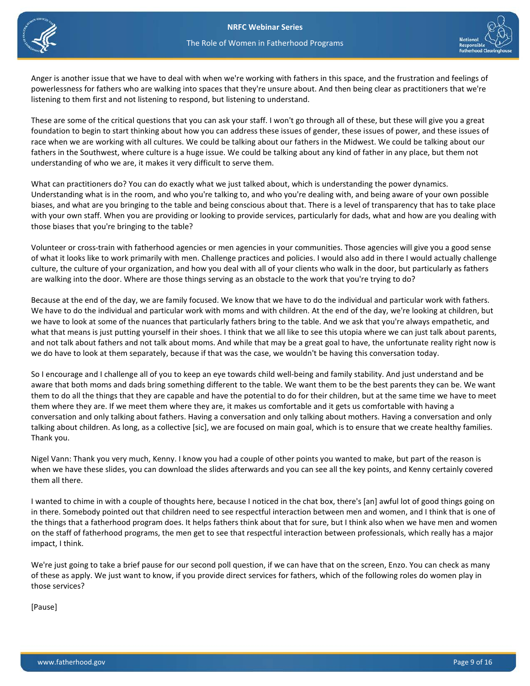



 powerlessness for fathers who are walking into spaces that they're unsure about. And then being clear as practitioners that we're Anger is another issue that we have to deal with when we're working with fathers in this space, and the frustration and feelings of listening to them first and not listening to respond, but listening to understand.

 These are some of the critical questions that you can ask your staff. I won't go through all of these, but these will give you a great race when we are working with all cultures. We could be talking about our fathers in the Midwest. We could be talking about our fathers in the Southwest, where culture is a huge issue. We could be talking about any kind of father in any place, but them not foundation to begin to start thinking about how you can address these issues of gender, these issues of power, and these issues of understanding of who we are, it makes it very difficult to serve them.

 Understanding what is in the room, and who you're talking to, and who you're dealing with, and being aware of your own possible biases, and what are you bringing to the table and being conscious about that. There is a level of transparency that has to take place What can practitioners do? You can do exactly what we just talked about, which is understanding the power dynamics. with your own staff. When you are providing or looking to provide services, particularly for dads, what and how are you dealing with those biases that you're bringing to the table?

 Volunteer or cross-train with fatherhood agencies or men agencies in your communities. Those agencies will give you a good sense culture, the culture of your organization, and how you deal with all of your clients who walk in the door, but particularly as fathers are walking into the door. Where are those things serving as an obstacle to the work that you're trying to do? of what it looks like to work primarily with men. Challenge practices and policies. I would also add in there I would actually challenge

Because at the end of the day, we are family focused. We know that we have to do the individual and particular work with fathers. We have to do the individual and particular work with moms and with children. At the end of the day, we're looking at children, but we have to look at some of the nuances that particularly fathers bring to the table. And we ask that you're always empathetic, and what that means is just putting yourself in their shoes. I think that we all like to see this utopia where we can just talk about parents, and not talk about fathers and not talk about moms. And while that may be a great goal to have, the unfortunate reality right now is we do have to look at them separately, because if that was the case, we wouldn't be having this conversation today.

 them to do all the things that they are capable and have the potential to do for their children, but at the same time we have to meet conversation and only talking about fathers. Having a conversation and only talking about mothers. Having a conversation and only So I encourage and I challenge all of you to keep an eye towards child well-being and family stability. And just understand and be aware that both moms and dads bring something different to the table. We want them to be the best parents they can be. We want them where they are. If we meet them where they are, it makes us comfortable and it gets us comfortable with having a talking about children. As long, as a collective [sic], we are focused on main goal, which is to ensure that we create healthy families. Thank you.

 Nigel Vann: Thank you very much, Kenny. I know you had a couple of other points you wanted to make, but part of the reason is when we have these slides, you can download the slides afterwards and you can see all the key points, and Kenny certainly covered them all there.

 in there. Somebody pointed out that children need to see respectful interaction between men and women, and I think that is one of on the staff of fatherhood programs, the men get to see that respectful interaction between professionals, which really has a major I wanted to chime in with a couple of thoughts here, because I noticed in the chat box, there's [an] awful lot of good things going on the things that a fatherhood program does. It helps fathers think about that for sure, but I think also when we have men and women impact, I think.

We're just going to take a brief pause for our second poll question, if we can have that on the screen, Enzo. You can check as many of these as apply. We just want to know, if you provide direct services for fathers, which of the following roles do women play in those services?

[Pause]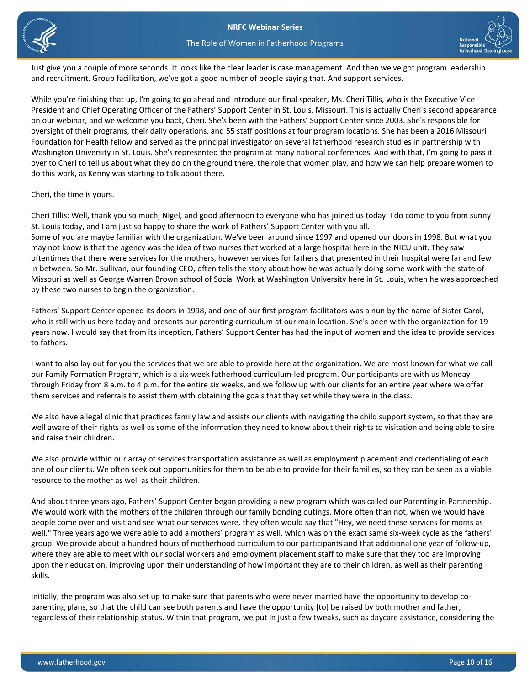



Just give you a couple of more seconds. It looks like the clear leader is case management. And then we've got program leadership and recruitment. Group facilitation, we've got a good number of people saying that. And support services.

 While you're finishing that up, I'm going to go ahead and introduce our final speaker, Ms. Cheri Tillis, who is the Executive Vice Foundation for Health fellow and served as the principal investigator on several fatherhood research studies in partnership with do this work, as Kenny was starting to talk about there. President and Chief Operating Officer of the Fathers' Support Center in St. Louis, Missouri. This is actually Cheri's second appearance on our webinar, and we welcome you back, Cheri. She's been with the Fathers' Support Center since 2003. She's responsible for oversight of their programs, their daily operations, and 55 staff positions at four program locations. She has been a 2016 Missouri Washington University in St. Louis. She's represented the program at many national conferences. And with that, I'm going to pass it over to Cheri to tell us about what they do on the ground there, the role that women play, and how we can help prepare women to

Cheri, the time is yours.

 St. Louis today, and I am just so happy to share the work of Fathers' Support Center with you all. Missouri as well as George Warren Brown school of Social Work at Washington University here in St. Louis, when he was approached Cheri Tillis: Well, thank you so much, Nigel, and good afternoon to everyone who has joined us today. I do come to you from sunny Some of you are maybe familiar with the organization. We've been around since 1997 and opened our doors in 1998. But what you may not know is that the agency was the idea of two nurses that worked at a large hospital here in the NICU unit. They saw oftentimes that there were services for the mothers, however services for fathers that presented in their hospital were far and few in between. So Mr. Sullivan, our founding CEO, often tells the story about how he was actually doing some work with the state of by these two nurses to begin the organization.

 years now. I would say that from its inception, Fathers' Support Center has had the input of women and the idea to provide services Fathers' Support Center opened its doors in 1998, and one of our first program facilitators was a nun by the name of Sister Carol, who is still with us here today and presents our parenting curriculum at our main location. She's been with the organization for 19 to fathers.

 through Friday from 8 a.m. to 4 p.m. for the entire six weeks, and we follow up with our clients for an entire year where we offer I want to also lay out for you the services that we are able to provide here at the organization. We are most known for what we call our Family Formation Program, which is a six-week fatherhood curriculum-led program. Our participants are with us Monday them services and referrals to assist them with obtaining the goals that they set while they were in the class.

 well aware of their rights as well as some of the information they need to know about their rights to visitation and being able to sire We also have a legal clinic that practices family law and assists our clients with navigating the child support system, so that they are and raise their children.

We also provide within our array of services transportation assistance as well as employment placement and credentialing of each one of our clients. We often seek out opportunities for them to be able to provide for their families, so they can be seen as a viable resource to the mother as well as their children.

 people come over and visit and see what our services were, they often would say that "Hey, we need these services for moms as well." Three years ago we were able to add a mothers' program as well, which was on the exact same six-week cycle as the fathers' upon their education, improving upon their understanding of how important they are to their children, as well as their parenting And about three years ago, Fathers' Support Center began providing a new program which was called our Parenting in Partnership. We would work with the mothers of the children through our family bonding outings. More often than not, when we would have group. We provide about a hundred hours of motherhood curriculum to our participants and that additional one year of follow-up, where they are able to meet with our social workers and employment placement staff to make sure that they too are improving skills.

Initially, the program was also set up to make sure that parents who were never married have the opportunity to develop coparenting plans, so that the child can see both parents and have the opportunity [to] be raised by both mother and father, regardless of their relationship status. Within that program, we put in just a few tweaks, such as daycare assistance, considering the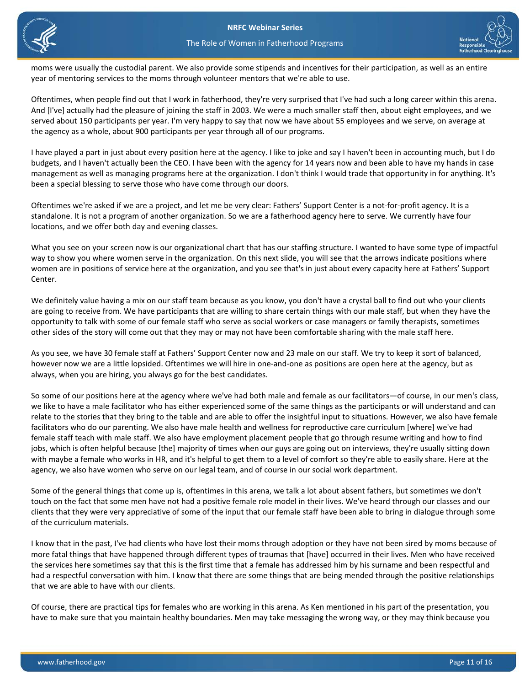



 moms were usually the custodial parent. We also provide some stipends and incentives for their participation, as well as an entire year of mentoring services to the moms through volunteer mentors that we're able to use.

Oftentimes, when people find out that I work in fatherhood, they're very surprised that I've had such a long career within this arena. And [I've] actually had the pleasure of joining the staff in 2003. We were a much smaller staff then, about eight employees, and we served about 150 participants per year. I'm very happy to say that now we have about 55 employees and we serve, on average at the agency as a whole, about 900 participants per year through all of our programs.

 I have played a part in just about every position here at the agency. I like to joke and say I haven't been in accounting much, but I do budgets, and I haven't actually been the CEO. I have been with the agency for 14 years now and been able to have my hands in case management as well as managing programs here at the organization. I don't think I would trade that opportunity in for anything. It's been a special blessing to serve those who have come through our doors.

Oftentimes we're asked if we are a project, and let me be very clear: Fathers' Support Center is a not-for-profit agency. It is a standalone. It is not a program of another organization. So we are a fatherhood agency here to serve. We currently have four locations, and we offer both day and evening classes.

What you see on your screen now is our organizational chart that has our staffing structure. I wanted to have some type of impactful way to show you where women serve in the organization. On this next slide, you will see that the arrows indicate positions where women are in positions of service here at the organization, and you see that's in just about every capacity here at Fathers' Support Center.

We definitely value having a mix on our staff team because as you know, you don't have a crystal ball to find out who your clients are going to receive from. We have participants that are willing to share certain things with our male staff, but when they have the opportunity to talk with some of our female staff who serve as social workers or case managers or family therapists, sometimes other sides of the story will come out that they may or may not have been comfortable sharing with the male staff here.

As you see, we have 30 female staff at Fathers' Support Center now and 23 male on our staff. We try to keep it sort of balanced, however now we are a little lopsided. Oftentimes we will hire in one-and-one as positions are open here at the agency, but as always, when you are hiring, you always go for the best candidates.

 So some of our positions here at the agency where we've had both male and female as our facilitators—of course, in our men's class, we like to have a male facilitator who has either experienced some of the same things as the participants or will understand and can relate to the stories that they bring to the table and are able to offer the insightful input to situations. However, we also have female facilitators who do our parenting. We also have male health and wellness for reproductive care curriculum [where] we've had female staff teach with male staff. We also have employment placement people that go through resume writing and how to find jobs, which is often helpful because [the] majority of times when our guys are going out on interviews, they're usually sitting down with maybe a female who works in HR, and it's helpful to get them to a level of comfort so they're able to easily share. Here at the agency, we also have women who serve on our legal team, and of course in our social work department.

Some of the general things that come up is, oftentimes in this arena, we talk a lot about absent fathers, but sometimes we don't touch on the fact that some men have not had a positive female role model in their lives. We've heard through our classes and our clients that they were very appreciative of some of the input that our female staff have been able to bring in dialogue through some of the curriculum materials.

I know that in the past, I've had clients who have lost their moms through adoption or they have not been sired by moms because of more fatal things that have happened through different types of traumas that [have] occurred in their lives. Men who have received the services here sometimes say that this is the first time that a female has addressed him by his surname and been respectful and had a respectful conversation with him. I know that there are some things that are being mended through the positive relationships that we are able to have with our clients.

Of course, there are practical tips for females who are working in this arena. As Ken mentioned in his part of the presentation, you have to make sure that you maintain healthy boundaries. Men may take messaging the wrong way, or they may think because you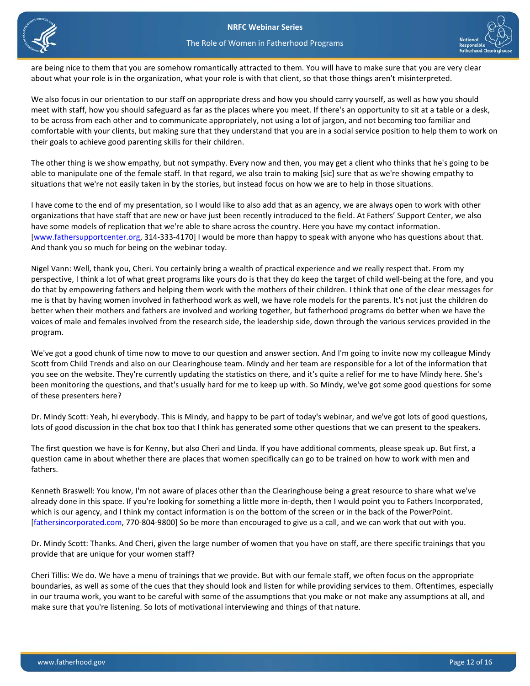



The Role of Women in Fatherhood Programs

 about what your role is in the organization, what your role is with that client, so that those things aren't misinterpreted. are being nice to them that you are somehow romantically attracted to them. You will have to make sure that you are very clear

We also focus in our orientation to our staff on appropriate dress and how you should carry yourself, as well as how you should meet with staff, how you should safeguard as far as the places where you meet. If there's an opportunity to sit at a table or a desk, to be across from each other and to communicate appropriately, not using a lot of jargon, and not becoming too familiar and comfortable with your clients, but making sure that they understand that you are in a social service position to help them to work on their goals to achieve good parenting skills for their children.

 The other thing is we show empathy, but not sympathy. Every now and then, you may get a client who thinks that he's going to be able to manipulate one of the female staff. In that regard, we also train to making [sic] sure that as we're showing empathy to situations that we're not easily taken in by the stories, but instead focus on how we are to help in those situations.

 I have come to the end of my presentation, so I would like to also add that as an agency, we are always open to work with other organizations that have staff that are new or have just been recently introduced to the field. At Fathers' Support Center, we also have some models of replication that we're able to share across the country. Here you have my contact information. [\[www.fathersupportcenter.org,](http://fatherssupportcenter.org/) 314-333-4170] I would be more than happy to speak with anyone who has questions about that. And thank you so much for being on the webinar today.

 better when their mothers and fathers are involved and working together, but fatherhood programs do better when we have the Nigel Vann: Well, thank you, Cheri. You certainly bring a wealth of practical experience and we really respect that. From my perspective, I think a lot of what great programs like yours do is that they do keep the target of child well-being at the fore, and you do that by empowering fathers and helping them work with the mothers of their children. I think that one of the clear messages for me is that by having women involved in fatherhood work as well, we have role models for the parents. It's not just the children do voices of male and females involved from the research side, the leadership side, down through the various services provided in the program.

 been monitoring the questions, and that's usually hard for me to keep up with. So Mindy, we've got some good questions for some We've got a good chunk of time now to move to our question and answer section. And I'm going to invite now my colleague Mindy Scott from Child Trends and also on our Clearinghouse team. Mindy and her team are responsible for a lot of the information that you see on the website. They're currently updating the statistics on there, and it's quite a relief for me to have Mindy here. She's of these presenters here?

 lots of good discussion in the chat box too that I think has generated some other questions that we can present to the speakers. Dr. Mindy Scott: Yeah, hi everybody. This is Mindy, and happy to be part of today's webinar, and we've got lots of good questions,

The first question we have is for Kenny, but also Cheri and Linda. If you have additional comments, please speak up. But first, a question came in about whether there are places that women specifically can go to be trained on how to work with men and fathers.

 Kenneth Braswell: You know, I'm not aware of places other than the Clearinghouse being a great resource to share what we've already done in this space. If you're looking for something a little more in-depth, then I would point you to Fathers Incorporated, which is our agency, and I think my contact information is on the bottom of the screen or in the back of the PowerPoint. [\[fathersincorporated.com,](http://www.fathersincorporated.com/) 770-804-9800] So be more than encouraged to give us a call, and we can work that out with you.

Dr. Mindy Scott: Thanks. And Cheri, given the large number of women that you have on staff, are there specific trainings that you provide that are unique for your women staff?

Cheri Tillis: We do. We have a menu of trainings that we provide. But with our female staff, we often focus on the appropriate boundaries, as well as some of the cues that they should look and listen for while providing services to them. Oftentimes, especially in our trauma work, you want to be careful with some of the assumptions that you make or not make any assumptions at all, and make sure that you're listening. So lots of motivational interviewing and things of that nature.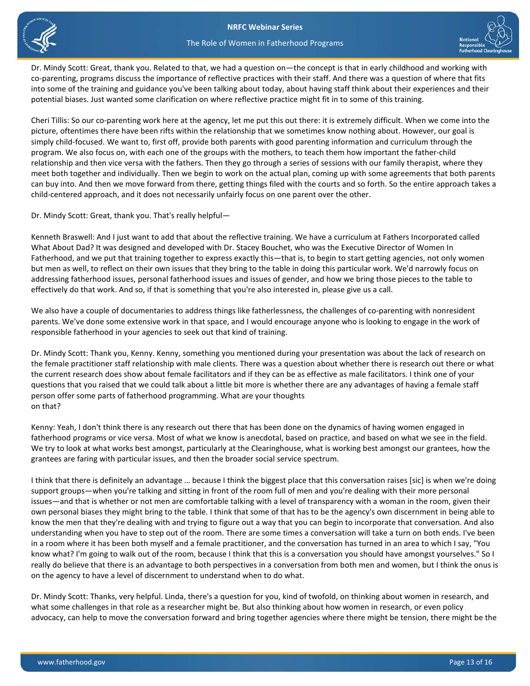

#### The Role of Women in Fatherhood Programs



 co-parenting, programs discuss the importance of reflective practices with their staff. And there was a question of where that fits Dr. Mindy Scott: Great, thank you. Related to that, we had a question on—the concept is that in early childhood and working with into some of the training and guidance you've been talking about today, about having staff think about their experiences and their potential biases. Just wanted some clarification on where reflective practice might fit in to some of this training.

 Cheri Tillis: So our co-parenting work here at the agency, let me put this out there: it is extremely difficult. When we come into the simply child-focused. We want to, first off, provide both parents with good parenting information and curriculum through the relationship and then vice versa with the fathers. Then they go through a series of sessions with our family therapist, where they child-centered approach, and it does not necessarily unfairly focus on one parent over the other. picture, oftentimes there have been rifts within the relationship that we sometimes know nothing about. However, our goal is program. We also focus on, with each one of the groups with the mothers, to teach them how important the father-child meet both together and individually. Then we begin to work on the actual plan, coming up with some agreements that both parents can buy into. And then we move forward from there, getting things filed with the courts and so forth. So the entire approach takes a

Dr. Mindy Scott: Great, thank you. That's really helpful—

 addressing fatherhood issues, personal fatherhood issues and issues of gender, and how we bring those pieces to the table to Kenneth Braswell: And I just want to add that about the reflective training. We have a curriculum at Fathers Incorporated called What About Dad? It was designed and developed with Dr. Stacey Bouchet, who was the Executive Director of Women In Fatherhood, and we put that training together to express exactly this—that is, to begin to start getting agencies, not only women but men as well, to reflect on their own issues that they bring to the table in doing this particular work. We'd narrowly focus on effectively do that work. And so, if that is something that you're also interested in, please give us a call.

 We also have a couple of documentaries to address things like fatherlessness, the challenges of co-parenting with nonresident parents. We've done some extensive work in that space, and I would encourage anyone who is looking to engage in the work of responsible fatherhood in your agencies to seek out that kind of training.

 the female practitioner staff relationship with male clients. There was a question about whether there is research out there or what questions that you raised that we could talk about a little bit more is whether there are any advantages of having a female staff Dr. Mindy Scott: Thank you, Kenny. Kenny, something you mentioned during your presentation was about the lack of research on the current research does show about female facilitators and if they can be as effective as male facilitators. I think one of your person offer some parts of fatherhood programming. What are your thoughts on that?

 fatherhood programs or vice versa. Most of what we know is anecdotal, based on practice, and based on what we see in the field. We try to look at what works best amongst, particularly at the Clearinghouse, what is working best amongst our grantees, how the grantees are faring with particular issues, and then the broader social service spectrum. Kenny: Yeah, I don't think there is any research out there that has been done on the dynamics of having women engaged in

 support groups—when you're talking and sitting in front of the room full of men and you're dealing with their more personal own personal biases they might bring to the table. I think that some of that has to be the agency's own discernment in being able to know the men that they're dealing with and trying to figure out a way that you can begin to incorporate that conversation. And also really do believe that there is an advantage to both perspectives in a conversation from both men and women, but I think the onus is I think that there is definitely an advantage … because I think the biggest place that this conversation raises [sic] is when we're doing issues—and that is whether or not men are comfortable talking with a level of transparency with a woman in the room, given their understanding when you have to step out of the room. There are some times a conversation will take a turn on both ends. I've been in a room where it has been both myself and a female practitioner, and the conversation has turned in an area to which I say, "You know what? I'm going to walk out of the room, because I think that this is a conversation you should have amongst yourselves." So I on the agency to have a level of discernment to understand when to do what.

Dr. Mindy Scott: Thanks, very helpful. Linda, there's a question for you, kind of twofold, on thinking about women in research, and what some challenges in that role as a researcher might be. But also thinking about how women in research, or even policy advocacy, can help to move the conversation forward and bring together agencies where there might be tension, there might be the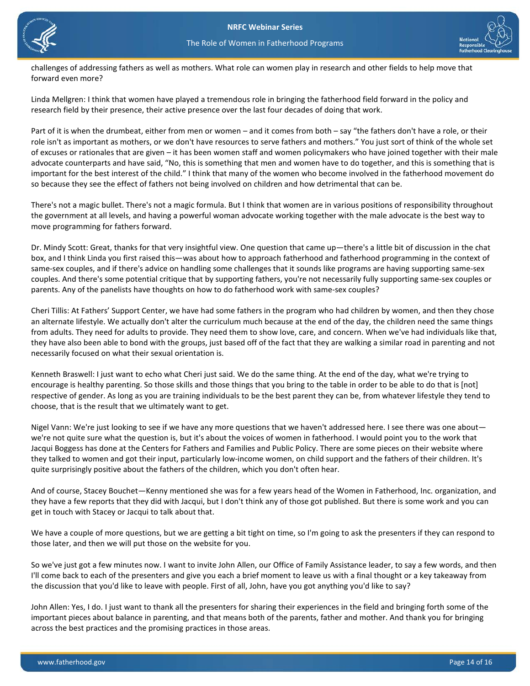



 challenges of addressing fathers as well as mothers. What role can women play in research and other fields to help move that forward even more?

 research field by their presence, their active presence over the last four decades of doing that work. Linda Mellgren: I think that women have played a tremendous role in bringing the fatherhood field forward in the policy and

 role isn't as important as mothers, or we don't have resources to serve fathers and mothers." You just sort of think of the whole set Part of it is when the drumbeat, either from men or women – and it comes from both – say "the fathers don't have a role, or their of excuses or rationales that are given – it has been women staff and women policymakers who have joined together with their male advocate counterparts and have said, "No, this is something that men and women have to do together, and this is something that is important for the best interest of the child." I think that many of the women who become involved in the fatherhood movement do so because they see the effect of fathers not being involved on children and how detrimental that can be.

There's not a magic bullet. There's not a magic formula. But I think that women are in various positions of responsibility throughout the government at all levels, and having a powerful woman advocate working together with the male advocate is the best way to move programming for fathers forward.

 parents. Any of the panelists have thoughts on how to do fatherhood work with same-sex couples? Dr. Mindy Scott: Great, thanks for that very insightful view. One question that came up—there's a little bit of discussion in the chat box, and I think Linda you first raised this—was about how to approach fatherhood and fatherhood programming in the context of same-sex couples, and if there's advice on handling some challenges that it sounds like programs are having supporting same-sex couples. And there's some potential critique that by supporting fathers, you're not necessarily fully supporting same-sex couples or

Cheri Tillis: At Fathers' Support Center, we have had some fathers in the program who had children by women, and then they chose an alternate lifestyle. We actually don't alter the curriculum much because at the end of the day, the children need the same things from adults. They need for adults to provide. They need them to show love, care, and concern. When we've had individuals like that, they have also been able to bond with the groups, just based off of the fact that they are walking a similar road in parenting and not necessarily focused on what their sexual orientation is.

 Kenneth Braswell: I just want to echo what Cheri just said. We do the same thing. At the end of the day, what we're trying to respective of gender. As long as you are training individuals to be the best parent they can be, from whatever lifestyle they tend to encourage is healthy parenting. So those skills and those things that you bring to the table in order to be able to do that is [not] choose, that is the result that we ultimately want to get.

 we're not quite sure what the question is, but it's about the voices of women in fatherhood. I would point you to the work that quite surprisingly positive about the fathers of the children, which you don't often hear. Nigel Vann: We're just looking to see if we have any more questions that we haven't addressed here. I see there was one about— Jacqui Boggess has done at the Centers for Fathers and Families and Public Policy. There are some pieces on their website where they talked to women and got their input, particularly low-income women, on child support and the fathers of their children. It's

 And of course, Stacey Bouchet—Kenny mentioned she was for a few years head of the Women in Fatherhood, Inc. organization, and they have a few reports that they did with Jacqui, but I don't think any of those got published. But there is some work and you can get in touch with Stacey or Jacqui to talk about that.

 We have a couple of more questions, but we are getting a bit tight on time, so I'm going to ask the presenters if they can respond to those later, and then we will put those on the website for you.

 So we've just got a few minutes now. I want to invite John Allen, our Office of Family Assistance leader, to say a few words, and then I'll come back to each of the presenters and give you each a brief moment to leave us with a final thought or a key takeaway from the discussion that you'd like to leave with people. First of all, John, have you got anything you'd like to say?

 important pieces about balance in parenting, and that means both of the parents, father and mother. And thank you for bringing John Allen: Yes, I do. I just want to thank all the presenters for sharing their experiences in the field and bringing forth some of the across the best practices and the promising practices in those areas.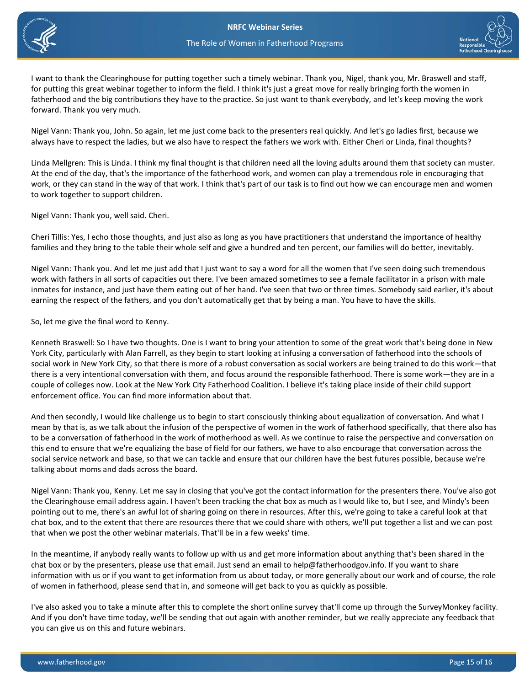



 for putting this great webinar together to inform the field. I think it's just a great move for really bringing forth the women in forward. Thank you very much. I want to thank the Clearinghouse for putting together such a timely webinar. Thank you, Nigel, thank you, Mr. Braswell and staff, fatherhood and the big contributions they have to the practice. So just want to thank everybody, and let's keep moving the work

 always have to respect the ladies, but we also have to respect the fathers we work with. Either Cheri or Linda, final thoughts? Nigel Vann: Thank you, John. So again, let me just come back to the presenters real quickly. And let's go ladies first, because we

 Linda Mellgren: This is Linda. I think my final thought is that children need all the loving adults around them that society can muster. work, or they can stand in the way of that work. I think that's part of our task is to find out how we can encourage men and women At the end of the day, that's the importance of the fatherhood work, and women can play a tremendous role in encouraging that to work together to support children.

Nigel Vann: Thank you, well said. Cheri.

Cheri Tillis: Yes, I echo those thoughts, and just also as long as you have practitioners that understand the importance of healthy families and they bring to the table their whole self and give a hundred and ten percent, our families will do better, inevitably.

 inmates for instance, and just have them eating out of her hand. I've seen that two or three times. Somebody said earlier, it's about Nigel Vann: Thank you. And let me just add that I just want to say a word for all the women that I've seen doing such tremendous work with fathers in all sorts of capacities out there. I've been amazed sometimes to see a female facilitator in a prison with male earning the respect of the fathers, and you don't automatically get that by being a man. You have to have the skills.

So, let me give the final word to Kenny.

 Kenneth Braswell: So I have two thoughts. One is I want to bring your attention to some of the great work that's being done in New York City, particularly with Alan Farrell, as they begin to start looking at infusing a conversation of fatherhood into the schools of social work in New York City, so that there is more of a robust conversation as social workers are being trained to do this work—that there is a very intentional conversation with them, and focus around the responsible fatherhood. There is some work—they are in a couple of colleges now. Look at the New York City Fatherhood Coalition. I believe it's taking place inside of their child support enforcement office. You can find more information about that.

And then secondly, I would like challenge us to begin to start consciously thinking about equalization of conversation. And what I mean by that is, as we talk about the infusion of the perspective of women in the work of fatherhood specifically, that there also has to be a conversation of fatherhood in the work of motherhood as well. As we continue to raise the perspective and conversation on this end to ensure that we're equalizing the base of field for our fathers, we have to also encourage that conversation across the social service network and base, so that we can tackle and ensure that our children have the best futures possible, because we're talking about moms and dads across the board.

 Nigel Vann: Thank you, Kenny. Let me say in closing that you've got the contact information for the presenters there. You've also got that when we post the other webinar materials. That'll be in a few weeks' time. the Clearinghouse email address again. I haven't been tracking the chat box as much as I would like to, but I see, and Mindy's been pointing out to me, there's an awful lot of sharing going on there in resources. After this, we're going to take a careful look at that chat box, and to the extent that there are resources there that we could share with others, we'll put together a list and we can post

 chat box or by the presenters, please use that email. Just send an email to help@fatherhoodgov.info. If you want to share In the meantime, if anybody really wants to follow up with us and get more information about anything that's been shared in the information with us or if you want to get information from us about today, or more generally about our work and of course, the role of women in fatherhood, please send that in, and someone will get back to you as quickly as possible.

 And if you don't have time today, we'll be sending that out again with another reminder, but we really appreciate any feedback that I've also asked you to take a minute after this to complete the short online survey that'll come up through the SurveyMonkey facility. you can give us on this and future webinars.